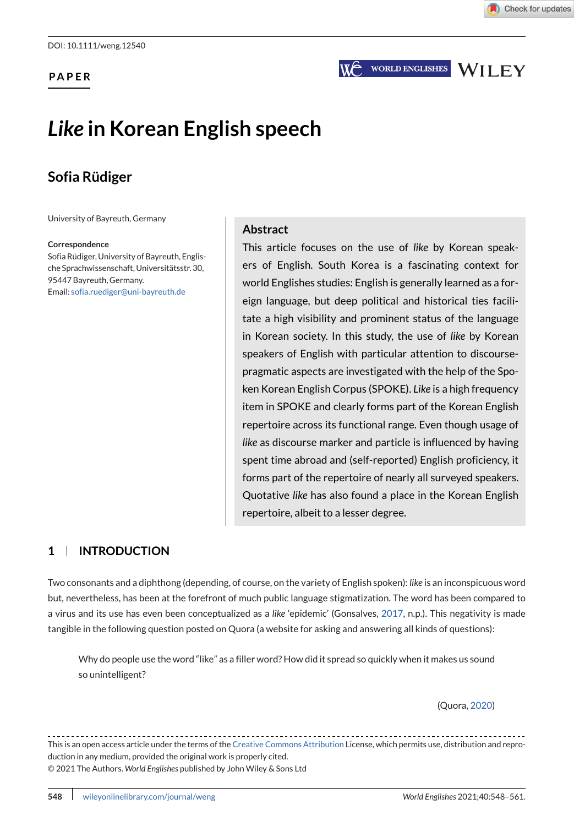**PAPER**

**WORLD ENGLISHES WILEY** 

## *Like* **in Korean English speech**

### **Sofia Rüdiger**

University of Bayreuth, Germany

#### **Correspondence**

Sofia Rüdiger, University of Bayreuth, Englische Sprachwissenschaft, Universitätsstr. 30, 95447 Bayreuth, Germany. Email: [sofia.ruediger@uni-bayreuth.de](mailto:sofia.ruediger@uni-bayreuth.de)

#### **Abstract**

This article focuses on the use of *like* by Korean speakers of English. South Korea is a fascinating context for world Englishes studies: English is generally learned as a foreign language, but deep political and historical ties facilitate a high visibility and prominent status of the language in Korean society. In this study, the use of *like* by Korean speakers of English with particular attention to discoursepragmatic aspects are investigated with the help of the Spoken Korean English Corpus (SPOKE). *Like* is a high frequency item in SPOKE and clearly forms part of the Korean English repertoire across its functional range. Even though usage of *like* as discourse marker and particle is influenced by having spent time abroad and (self-reported) English proficiency, it forms part of the repertoire of nearly all surveyed speakers. Quotative *like* has also found a place in the Korean English repertoire, albeit to a lesser degree.

#### **1 INTRODUCTION**

Two consonants and a diphthong (depending, of course, on the variety of English spoken): *like* is an inconspicuous word but, nevertheless, has been at the forefront of much public language stigmatization. The word has been compared to a virus and its use has even been conceptualized as a *like* 'epidemic' (Gonsalves, [2017,](#page-12-0) n.p.). This negativity is made tangible in the following question posted on Quora (a website for asking and answering all kinds of questions):

Why do people use the word "like" as a filler word? How did it spread so quickly when it makes us sound so unintelligent?

(Quora, [2020\)](#page-12-0)

This is an open access article under the terms of the [Creative Commons Attribution](http://creativecommons.org/licenses/by/4.0/) License, which permits use, distribution and reproduction in any medium, provided the original work is properly cited. © 2021 The Authors. *World Englishes* published by John Wiley & Sons Ltd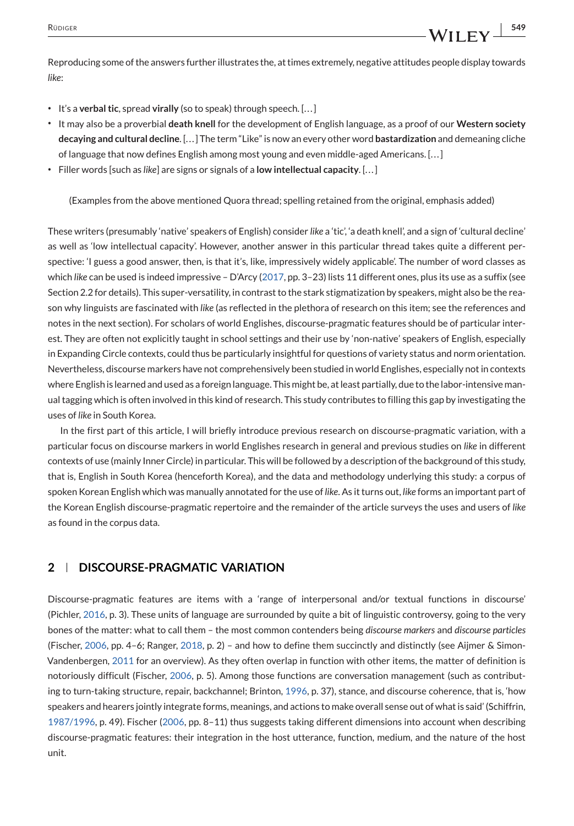Reproducing some of the answers further illustrates the, at times extremely, negative attitudes people display towards *like*:

- ∙ It's a **verbal tic**, spread **virally** (so to speak) through speech. [. . . ]
- ∙ It may also be a proverbial **death knell** for the development of English language, as a proof of our **Western society decaying and cultural decline**. [. . . ] The term "Like" is now an every other word **bastardization** and demeaning cliche of language that now defines English among most young and even middle-aged Americans. [...]
- ∙ Filler words [such as *like*] are signs or signals of a **low intellectual capacity**. [. . . ]

(Examples from the above mentioned Quora thread; spelling retained from the original, emphasis added)

These writers (presumably 'native' speakers of English) consider *like* a 'tic', 'a death knell', and a sign of 'cultural decline' as well as 'low intellectual capacity'. However, another answer in this particular thread takes quite a different perspective: 'I guess a good answer, then, is that it's, like, impressively widely applicable'. The number of word classes as which *like* can be used is indeed impressive – D'Arcy [\(2017,](#page-11-0) pp. 3–23) lists 11 different ones, plus its use as a suffix (see Section 2.2 for details). This super-versatility, in contrast to the stark stigmatization by speakers, might also be the reason why linguists are fascinated with *like* (as reflected in the plethora of research on this item; see the references and notes in the next section). For scholars of world Englishes, discourse-pragmatic features should be of particular interest. They are often not explicitly taught in school settings and their use by 'non-native' speakers of English, especially in Expanding Circle contexts, could thus be particularly insightful for questions of variety status and norm orientation. Nevertheless, discourse markers have not comprehensively been studied in world Englishes, especially not in contexts where English is learned and used as a foreign language. This might be, at least partially, due to the labor-intensive manual tagging which is often involved in this kind of research. This study contributes to filling this gap by investigating the uses of *like* in South Korea.

In the first part of this article, I will briefly introduce previous research on discourse-pragmatic variation, with a particular focus on discourse markers in world Englishes research in general and previous studies on *like* in different contexts of use (mainly Inner Circle) in particular. This will be followed by a description of the background of this study, that is, English in South Korea (henceforth Korea), and the data and methodology underlying this study: a corpus of spoken Korean English which was manually annotated for the use of *like*. As it turns out, *like* forms an important part of the Korean English discourse-pragmatic repertoire and the remainder of the article surveys the uses and users of *like* as found in the corpus data.

#### **2 DISCOURSE-PRAGMATIC VARIATION**

Discourse-pragmatic features are items with a 'range of interpersonal and/or textual functions in discourse' (Pichler, [2016,](#page-12-0) p. 3). These units of language are surrounded by quite a bit of linguistic controversy, going to the very bones of the matter: what to call them – the most common contenders being *discourse markers* and *discourse particles* (Fischer, [2006,](#page-11-0) pp. 4–6; Ranger, [2018,](#page-12-0) p. 2) – and how to define them succinctly and distinctly (see Aijmer & Simon-Vandenbergen, [2011](#page-11-0) for an overview). As they often overlap in function with other items, the matter of definition is notoriously difficult (Fischer, [2006,](#page-11-0) p. 5). Among those functions are conversation management (such as contributing to turn-taking structure, repair, backchannel; Brinton, [1996,](#page-11-0) p. 37), stance, and discourse coherence, that is, 'how speakers and hearers jointly integrate forms, meanings, and actions to make overall sense out of what is said' (Schiffrin, [1987/1996,](#page-13-0) p. 49). Fischer [\(2006,](#page-11-0) pp. 8–11) thus suggests taking different dimensions into account when describing discourse-pragmatic features: their integration in the host utterance, function, medium, and the nature of the host unit.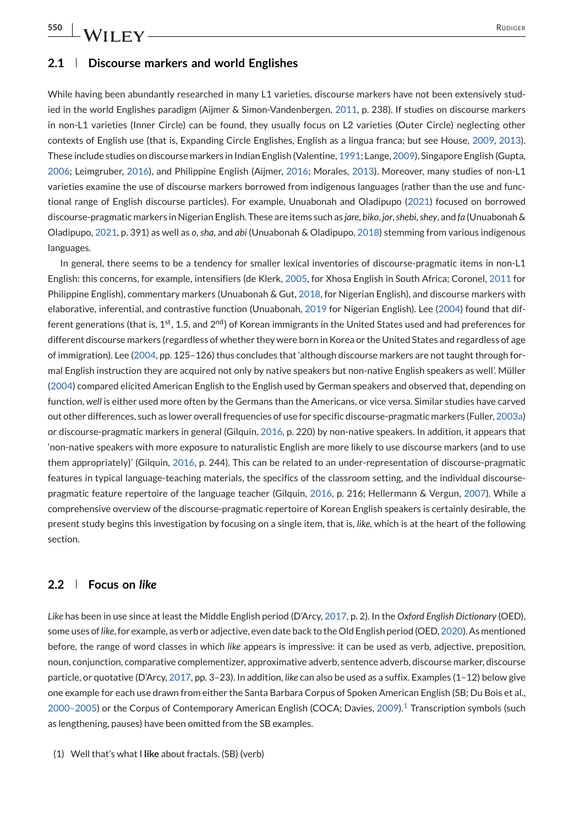**550** RÜDIGER

#### **2.1 Discourse markers and world Englishes**

While having been abundantly researched in many L1 varieties, discourse markers have not been extensively studied in the world Englishes paradigm (Aijmer & Simon-Vandenbergen, [2011,](#page-11-0) p. 238). If studies on discourse markers in non-L1 varieties (Inner Circle) can be found, they usually focus on L2 varieties (Outer Circle) neglecting other contexts of English use (that is, Expanding Circle Englishes, English as a lingua franca; but see House, [2009,](#page-12-0) [2013\)](#page-12-0). These include studies on discourse markers in Indian English (Valentine, [1991;](#page-13-0) Lange, [2009\)](#page-12-0), Singapore English (Gupta, [2006;](#page-12-0) Leimgruber, [2016\)](#page-12-0), and Philippine English (Aijmer, [2016;](#page-11-0) Morales, [2013\)](#page-12-0). Moreover, many studies of non-L1 varieties examine the use of discourse markers borrowed from indigenous languages (rather than the use and functional range of English discourse particles). For example, Unuabonah and Oladipupo [\(2021\)](#page-13-0) focused on borrowed discourse-pragmatic markers in Nigerian English. These are items such as *jare*, *biko*, *jor*,*shebi*,*shey*, and *fa* (Unuabonah & Oladipupo, [2021,](#page-13-0) p. 391) as well as *o*, *sha*, and *abi* (Unuabonah & Oladipupo, [2018\)](#page-13-0) stemming from various indigenous languages.

In general, there seems to be a tendency for smaller lexical inventories of discourse-pragmatic items in non-L1 English: this concerns, for example, intensifiers (de Klerk, [2005,](#page-11-0) for Xhosa English in South Africa; Coronel, [2011](#page-11-0) for Philippine English), commentary markers (Unuabonah & Gut, [2018,](#page-13-0) for Nigerian English), and discourse markers with elaborative, inferential, and contrastive function (Unuabonah, [2019](#page-13-0) for Nigerian English). Lee [\(2004\)](#page-12-0) found that different generations (that is,  $1<sup>st</sup>$ , 1.5, and  $2<sup>nd</sup>$ ) of Korean immigrants in the United States used and had preferences for different discourse markers (regardless of whether they were born in Korea or the United States and regardless of age of immigration). Lee [\(2004,](#page-12-0) pp. 125–126) thus concludes that 'although discourse markers are not taught through formal English instruction they are acquired not only by native speakers but non-native English speakers as well'. Müller [\(2004\)](#page-12-0) compared elicited American English to the English used by German speakers and observed that, depending on function, *well* is either used more often by the Germans than the Americans, or vice versa. Similar studies have carved out other differences, such as lower overall frequencies of use for specific discourse-pragmatic markers (Fuller, [2003a\)](#page-11-0) or discourse-pragmatic markers in general (Gilquin, [2016,](#page-12-0) p. 220) by non-native speakers. In addition, it appears that 'non-native speakers with more exposure to naturalistic English are more likely to use discourse markers (and to use them appropriately)' (Gilquin, [2016,](#page-12-0) p. 244). This can be related to an under-representation of discourse-pragmatic features in typical language-teaching materials, the specifics of the classroom setting, and the individual discoursepragmatic feature repertoire of the language teacher (Gilquin, [2016,](#page-12-0) p. 216; Hellermann & Vergun, [2007\)](#page-12-0). While a comprehensive overview of the discourse-pragmatic repertoire of Korean English speakers is certainly desirable, the present study begins this investigation by focusing on a single item, that is, *like*, which is at the heart of the following section.

#### **2.2 Focus on** *like*

*Like* has been in use since at least the Middle English period (D'Arcy, [2017,](#page-11-0) p. 2). In the *Oxford English Dictionary* (OED), some uses of*like*, for example, as verb or adjective, even date back to the Old English period (OED, [2020\)](#page-12-0). As mentioned before, the range of word classes in which *like* appears is impressive: it can be used as verb, adjective, preposition, noun, conjunction, comparative complementizer, approximative adverb, sentence adverb, discourse marker, discourse particle, or quotative (D'Arcy, [2017,](#page-11-0) pp. 3–23). In addition, *like* can also be used as a suffix. Examples (1–12) below give one example for each use drawn from either the Santa Barbara Corpus of Spoken American English (SB; Du Bois et al., [2000–2005\)](#page-11-0) or the Corpus of Contemporary American English (COCA; Davies, [2009\).](#page-11-0)1 Transcription symbols (such as lengthening, pauses) have been omitted from the SB examples.

(1) Well that's what I **like** about fractals. (SB) (verb)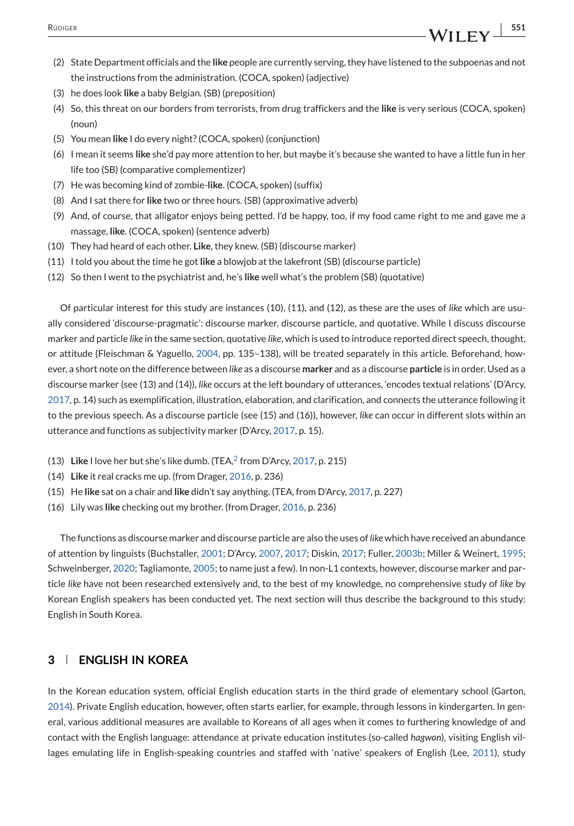- <span id="page-3-0"></span>(3) he does look **like** a baby Belgian. (SB) (preposition)
- (4) So, this threat on our borders from terrorists, from drug traffickers and the **like** is very serious (COCA, spoken)  $(n_{\text{OUD}})$
- (5) You mean **like** I do every night? (COCA, spoken) (conjunction)
- (6) I mean it seems **like** she'd pay more attention to her, but maybe it's because she wanted to have a little fun in her life too (SB) (comparative complementizer)
- (7) He was becoming kind of zombie-**like**. (COCA, spoken) (suffix)
- (8) And I sat there for **like** two or three hours. (SB) (approximative adverb)
- (9) And, of course, that alligator enjoys being petted. I'd be happy, too, if my food came right to me and gave me a massage, **like**. (COCA, spoken) (sentence adverb)
- (10) They had heard of each other. **Like**, they knew. (SB) (discourse marker)
- (11) I told you about the time he got **like** a blowjob at the lakefront (SB) (discourse particle)
- (12) So then I went to the psychiatrist and, he's **like** well what's the problem (SB) (quotative)

Of particular interest for this study are instances (10), (11), and (12), as these are the uses of *like* which are usually considered 'discourse-pragmatic': discourse marker, discourse particle, and quotative. While I discuss discourse marker and particle *like* in the same section, quotative *like*, which is used to introduce reported direct speech, thought, or attitude (Fleischman & Yaguello, [2004,](#page-11-0) pp. 135–138), will be treated separately in this article. Beforehand, however, a short note on the difference between *like* as a discourse **marker** and as a discourse **particle** is in order. Used as a discourse marker (see (13) and (14)), *like* occurs at the left boundary of utterances, 'encodes textual relations' (D'Arcy, [2017,](#page-11-0) p. 14) such as exemplification, illustration, elaboration, and clarification, and connects the utterance following it to the previous speech. As a discourse particle (see (15) and (16)), however, *like* can occur in different slots within an utterance and functions as subjectivity marker (D'Arcy, [2017,](#page-11-0) p. 15).

- (13) **Like** I love her but she's like dumb. (TEA[,](#page-11-0)<sup>2</sup> from D'Arcy, [2017,](#page-11-0) p. 215)
- (14) **Like** it real cracks me up. (from Drager, [2016,](#page-11-0) p. 236)
- (15) He **like** sat on a chair and **like** didn't say anything. (TEA, from D'Arcy, [2017,](#page-11-0) p. 227)
- (16) Lily was **like** checking out my brother. (from Drager, [2016,](#page-11-0) p. 236)

The functions as discourse marker and discourse particle are also the uses of *like* which have received an abundance of attention by linguists (Buchstaller, [2001;](#page-11-0) D'Arcy, [2007,](#page-11-0) [2017;](#page-11-0) Diskin, [2017;](#page-11-0) Fuller, [2003b;](#page-12-0) Miller & Weinert, [1995;](#page-12-0) Schweinberger, [2020;](#page-13-0) Tagliamonte, [2005;](#page-13-0) to name just a few). In non-L1 contexts, however, discourse marker and particle *like* have not been researched extensively and, to the best of my knowledge, no comprehensive study of *like* by Korean English speakers has been conducted yet. The next section will thus describe the background to this study: English in South Korea.

#### **3 ENGLISH IN KOREA**

In the Korean education system, official English education starts in the third grade of elementary school (Garton, [2014\)](#page-12-0). Private English education, however, often starts earlier, for example, through lessons in kindergarten. In general, various additional measures are available to Koreans of all ages when it comes to furthering knowledge of and contact with the English language: attendance at private education institutes (so-called *hagwon*), visiting English villages emulating life in English-speaking countries and staffed with 'native' speakers of English (Lee, [2011\)](#page-12-0), study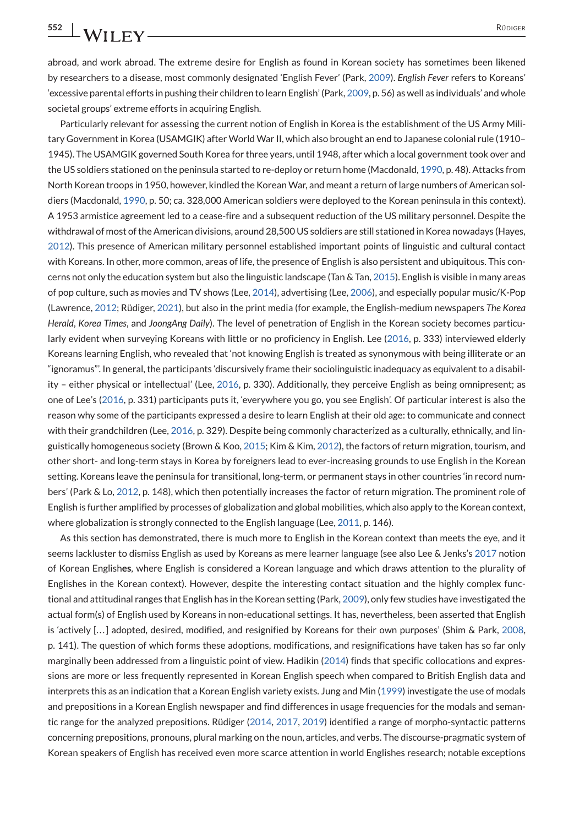abroad, and work abroad. The extreme desire for English as found in Korean society has sometimes been likened by researchers to a disease, most commonly designated 'English Fever' (Park, [2009\)](#page-12-0). *English Fever* refers to Koreans' 'excessive parental efforts in pushing their children to learn English' (Park, [2009,](#page-12-0) p. 56) as well as individuals' and whole societal groups' extreme efforts in acquiring English.

Particularly relevant for assessing the current notion of English in Korea is the establishment of the US Army Military Government in Korea (USAMGIK) after World War II, which also brought an end to Japanese colonial rule (1910– 1945). The USAMGIK governed South Korea for three years, until 1948, after which a local government took over and the US soldiers stationed on the peninsula started to re-deploy or return home (Macdonald, [1990,](#page-12-0) p. 48). Attacks from North Korean troops in 1950, however, kindled the Korean War, and meant a return of large numbers of American soldiers (Macdonald, [1990,](#page-12-0) p. 50; ca. 328,000 American soldiers were deployed to the Korean peninsula in this context). A 1953 armistice agreement led to a cease-fire and a subsequent reduction of the US military personnel. Despite the withdrawal of most of the American divisions, around 28,500 US soldiers are still stationed in Korea nowadays (Hayes, [2012\)](#page-12-0). This presence of American military personnel established important points of linguistic and cultural contact with Koreans. In other, more common, areas of life, the presence of English is also persistent and ubiquitous. This concerns not only the education system but also the linguistic landscape (Tan & Tan, [2015\)](#page-13-0). English is visible in many areas of pop culture, such as movies and TV shows (Lee, [2014\)](#page-12-0), advertising (Lee, [2006\)](#page-12-0), and especially popular music/K-Pop (Lawrence, [2012;](#page-12-0) Rüdiger, [2021\)](#page-13-0), but also in the print media (for example, the English-medium newspapers *The Korea Herald*, *Korea Times*, and *JoongAng Daily*). The level of penetration of English in the Korean society becomes particularly evident when surveying Koreans with little or no proficiency in English. Lee [\(2016,](#page-12-0) p. 333) interviewed elderly Koreans learning English, who revealed that 'not knowing English is treated as synonymous with being illiterate or an "ignoramus"'. In general, the participants 'discursively frame their sociolinguistic inadequacy as equivalent to a disability – either physical or intellectual' (Lee, [2016,](#page-12-0) p. 330). Additionally, they perceive English as being omnipresent; as one of Lee's [\(2016,](#page-12-0) p. 331) participants puts it, 'everywhere you go, you see English'. Of particular interest is also the reason why some of the participants expressed a desire to learn English at their old age: to communicate and connect with their grandchildren (Lee, [2016,](#page-12-0) p. 329). Despite being commonly characterized as a culturally, ethnically, and linguistically homogeneous society (Brown & Koo, [2015;](#page-11-0) Kim & Kim, [2012\)](#page-12-0), the factors of return migration, tourism, and other short- and long-term stays in Korea by foreigners lead to ever-increasing grounds to use English in the Korean setting. Koreans leave the peninsula for transitional, long-term, or permanent stays in other countries 'in record numbers' (Park & Lo, [2012,](#page-12-0) p. 148), which then potentially increases the factor of return migration. The prominent role of English is further amplified by processes of globalization and global mobilities, which also apply to the Korean context, where globalization is strongly connected to the English language (Lee, [2011,](#page-12-0) p. 146).

As this section has demonstrated, there is much more to English in the Korean context than meets the eye, and it seems lackluster to dismiss English as used by Koreans as mere learner language (see also Lee & Jenks's [2017](#page-12-0) notion of Korean English**es**, where English is considered a Korean language and which draws attention to the plurality of Englishes in the Korean context). However, despite the interesting contact situation and the highly complex functional and attitudinal ranges that English has in the Korean setting (Park, [2009\)](#page-12-0), only few studies have investigated the actual form(s) of English used by Koreans in non-educational settings. It has, nevertheless, been asserted that English is 'actively [...] adopted, desired, modified, and resignified by Koreans for their own purposes' (Shim & Park, [2008,](#page-13-0) p. 141). The question of which forms these adoptions, modifications, and resignifications have taken has so far only marginally been addressed from a linguistic point of view. Hadikin [\(2014\)](#page-12-0) finds that specific collocations and expressions are more or less frequently represented in Korean English speech when compared to British English data and interprets this as an indication that a Korean English variety exists. Jung and Min [\(1999\)](#page-12-0) investigate the use of modals and prepositions in a Korean English newspaper and find differences in usage frequencies for the modals and semantic range for the analyzed prepositions. Rüdiger [\(2014,](#page-13-0) [2017,](#page-13-0) [2019\)](#page-13-0) identified a range of morpho-syntactic patterns concerning prepositions, pronouns, plural marking on the noun, articles, and verbs. The discourse-pragmatic system of Korean speakers of English has received even more scarce attention in world Englishes research; notable exceptions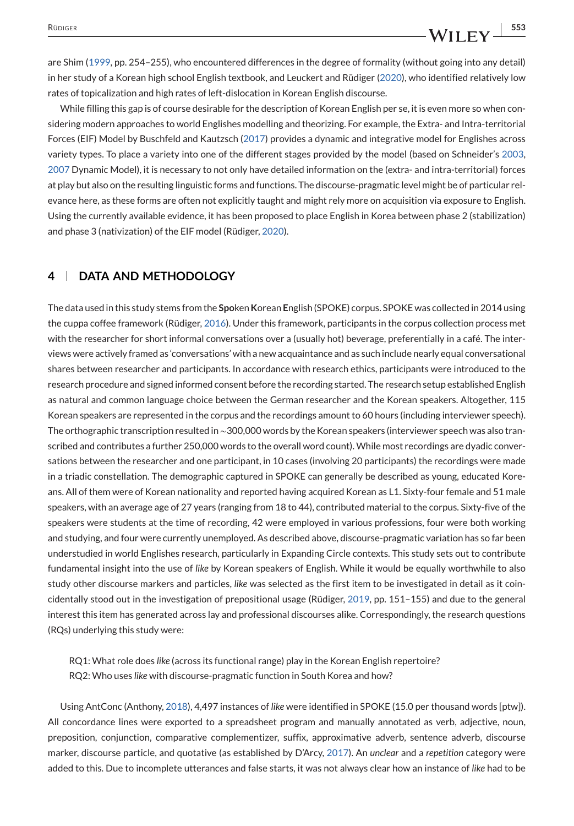#### are Shim [\(1999,](#page-13-0) pp. 254–255), who encountered differences in the degree of formality (without going into any detail) in her study of a Korean high school English textbook, and Leuckert and Rüdiger [\(2020\)](#page-12-0), who identified relatively low rates of topicalization and high rates of left-dislocation in Korean English discourse.

While filling this gap is of course desirable for the description of Korean English per se, it is even more so when considering modern approaches to world Englishes modelling and theorizing. For example, the Extra- and Intra-territorial Forces (EIF) Model by Buschfeld and Kautzsch [\(2017\)](#page-11-0) provides a dynamic and integrative model for Englishes across variety types. To place a variety into one of the different stages provided by the model (based on Schneider's [2003,](#page-13-0) [2007](#page-13-0) Dynamic Model), it is necessary to not only have detailed information on the (extra- and intra-territorial) forces at play but also on the resulting linguistic forms and functions. The discourse-pragmatic level might be of particular relevance here, as these forms are often not explicitly taught and might rely more on acquisition via exposure to English. Using the currently available evidence, it has been proposed to place English in Korea between phase 2 (stabilization) and phase 3 (nativization) of the EIF model (Rüdiger, [2020\)](#page-13-0).

#### **4 DATA AND METHODOLOGY**

The data used in this study stems from the **Spo**ken**K**orean **E**nglish (SPOKE) corpus. SPOKE was collected in 2014 using the cuppa coffee framework (Rüdiger, [2016\)](#page-13-0). Under this framework, participants in the corpus collection process met with the researcher for short informal conversations over a (usually hot) beverage, preferentially in a café. The interviews were actively framed as 'conversations' with a new acquaintance and as such include nearly equal conversational shares between researcher and participants. In accordance with research ethics, participants were introduced to the research procedure and signed informed consent before the recording started. The research setup established English as natural and common language choice between the German researcher and the Korean speakers. Altogether, 115 Korean speakers are represented in the corpus and the recordings amount to 60 hours (including interviewer speech). The orthographic transcription resulted in∼300,000 words by the Korean speakers (interviewer speech was also transcribed and contributes a further 250,000 words to the overall word count). While most recordings are dyadic conversations between the researcher and one participant, in 10 cases (involving 20 participants) the recordings were made in a triadic constellation. The demographic captured in SPOKE can generally be described as young, educated Koreans. All of them were of Korean nationality and reported having acquired Korean as L1. Sixty-four female and 51 male speakers, with an average age of 27 years (ranging from 18 to 44), contributed material to the corpus. Sixty-five of the speakers were students at the time of recording, 42 were employed in various professions, four were both working and studying, and four were currently unemployed. As described above, discourse-pragmatic variation has so far been understudied in world Englishes research, particularly in Expanding Circle contexts. This study sets out to contribute fundamental insight into the use of *like* by Korean speakers of English. While it would be equally worthwhile to also study other discourse markers and particles, *like* was selected as the first item to be investigated in detail as it coincidentally stood out in the investigation of prepositional usage (Rüdiger, [2019,](#page-13-0) pp. 151–155) and due to the general interest this item has generated across lay and professional discourses alike. Correspondingly, the research questions (RQs) underlying this study were:

RQ1: What role does *like* (across its functional range) play in the Korean English repertoire? RQ2: Who uses *like* with discourse-pragmatic function in South Korea and how?

Using AntConc (Anthony, [2018\)](#page-11-0), 4,497 instances of *like* were identified in SPOKE (15.0 per thousand words [ptw]). All concordance lines were exported to a spreadsheet program and manually annotated as verb, adjective, noun, preposition, conjunction, comparative complementizer, suffix, approximative adverb, sentence adverb, discourse marker, discourse particle, and quotative (as established by D'Arcy, [2017\)](#page-11-0). An *unclear* and a *repetition* category were added to this. Due to incomplete utterances and false starts, it was not always clear how an instance of *like* had to be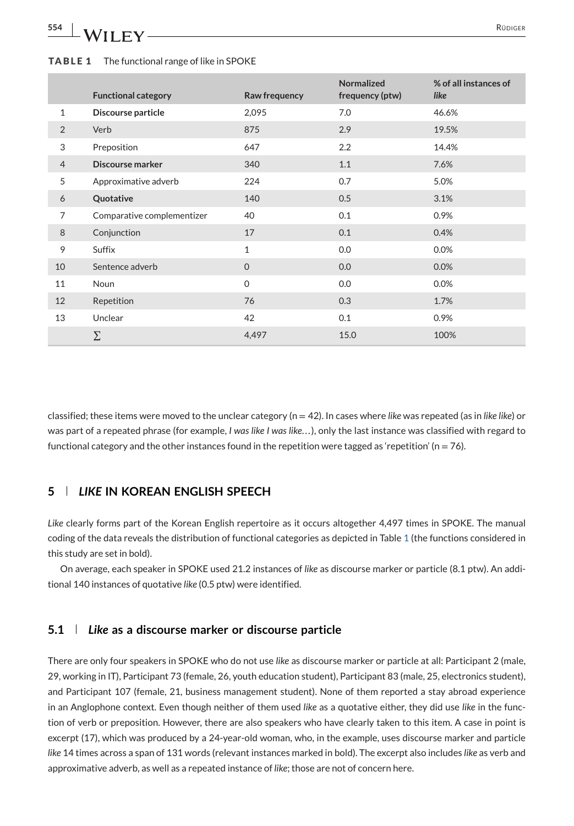# **554 A/II EV**

#### **TABLE 1** The functional range of like in SPOKE

|                | <b>Functional category</b> | Raw frequency | <b>Normalized</b><br>frequency (ptw) | % of all instances of<br>like |
|----------------|----------------------------|---------------|--------------------------------------|-------------------------------|
| $\mathbf{1}$   | Discourse particle         | 2,095         | 7.0                                  | 46.6%                         |
| $\overline{2}$ | Verb                       | 875           | 2.9                                  | 19.5%                         |
| 3              | Preposition                | 647           | 2.2                                  | 14.4%                         |
| $\overline{4}$ | Discourse marker           | 340           | 1.1                                  | 7.6%                          |
| 5              | Approximative adverb       | 224           | 0.7                                  | 5.0%                          |
| 6              | Quotative                  | 140           | 0.5                                  | 3.1%                          |
| 7              | Comparative complementizer | 40            | 0.1                                  | 0.9%                          |
| 8              | Conjunction                | 17            | 0.1                                  | 0.4%                          |
| 9              | Suffix                     | $\mathbf{1}$  | 0.0                                  | 0.0%                          |
| 10             | Sentence adverb            | $\mathbf{0}$  | 0.0                                  | 0.0%                          |
| 11             | <b>Noun</b>                | $\Omega$      | 0.0                                  | 0.0%                          |
| 12             | Repetition                 | 76            | 0.3                                  | 1.7%                          |
| 13             | Unclear                    | 42            | 0.1                                  | 0.9%                          |
|                | Σ                          | 4,497         | 15.0                                 | 100%                          |

classified; these items were moved to the unclear category (n = 42). In cases where *like* was repeated (as in *like like*) or was part of a repeated phrase (for example, *I was like I was like...*), only the last instance was classified with regard to functional category and the other instances found in the repetition were tagged as 'repetition' ( $n = 76$ ).

#### **<sup>5</sup>** *LIKE* **IN KOREAN ENGLISH SPEECH**

*Like* clearly forms part of the Korean English repertoire as it occurs altogether 4,497 times in SPOKE. The manual coding of the data reveals the distribution of functional categories as depicted in Table 1 (the functions considered in this study are set in bold).

On average, each speaker in SPOKE used 21.2 instances of *like* as discourse marker or particle (8.1 ptw). An additional 140 instances of quotative *like* (0.5 ptw) were identified.

#### **5.1** *Like* **as a discourse marker or discourse particle**

There are only four speakers in SPOKE who do not use *like* as discourse marker or particle at all: Participant 2 (male, 29, working in IT), Participant 73 (female, 26, youth education student), Participant 83 (male, 25, electronics student), and Participant 107 (female, 21, business management student). None of them reported a stay abroad experience in an Anglophone context. Even though neither of them used *like* as a quotative either, they did use *like* in the function of verb or preposition. However, there are also speakers who have clearly taken to this item. A case in point is excerpt (17), which was produced by a 24-year-old woman, who, in the example, uses discourse marker and particle *like* 14 times across a span of 131 words (relevant instances marked in bold). The excerpt also includes *like* as verb and approximative adverb, as well as a repeated instance of *like*; those are not of concern here.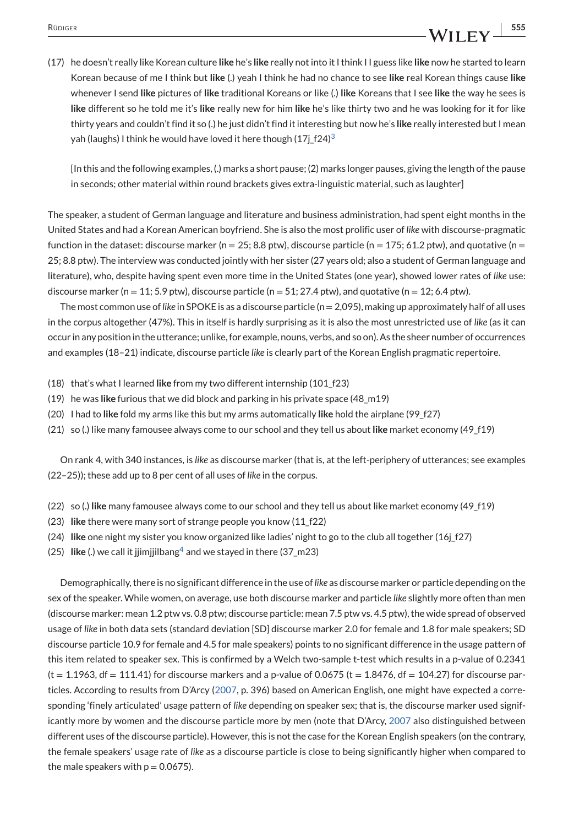### RÜDIGER **1999**<br><u>The Studies of the Studies of the Studies of the Studies of the Studies of the Studies of the Studies of the Studies of the Studies of the Studies of the Studies of the Studies of the Studies of the Studies</u>

(17) he doesn't really like Korean culture **like** he's **like** really not into it I think I I guess like **like** now he started to learn Korean because of me I think but **like** (.) yeah I think he had no chance to see **like** real Korean things cause **like** whenever I send **like** pictures of **like** traditional Koreans or like (.) **like** Koreans that I see **like** the way he sees is **like** different so he told me it's **like** really new for him **like** he's like thirty two and he was looking for it for like thirty years and couldn't find it so (.) he just didn't find it interesting but now he's **like** really interested but I mean yah (laughs[\)](#page-11-0) I think he would have loved it here though (17j $f24$ )<sup>3</sup>

[In this and the following examples, (.) marks a short pause; (2) marks longer pauses, giving the length of the pause in seconds; other material within round brackets gives extra-linguistic material, such as laughter]

The speaker, a student of German language and literature and business administration, had spent eight months in the United States and had a Korean American boyfriend. She is also the most prolific user of *like* with discourse-pragmatic function in the dataset: discourse marker (n = 25; 8.8 ptw), discourse particle (n = 175; 61.2 ptw), and quotative (n = 25; 8.8 ptw). The interview was conducted jointly with her sister (27 years old; also a student of German language and literature), who, despite having spent even more time in the United States (one year), showed lower rates of *like* use: discourse marker (n = 11; 5.9 ptw), discourse particle (n = 51; 27.4 ptw), and quotative (n = 12; 6.4 ptw).

The most common use of*like* in SPOKE is as a discourse particle (n = 2,095), making up approximately half of all uses in the corpus altogether (47%). This in itself is hardly surprising as it is also the most unrestricted use of *like* (as it can occur in any position in the utterance; unlike, for example, nouns, verbs, and so on). As the sheer number of occurrences and examples (18–21) indicate, discourse particle *like* is clearly part of the Korean English pragmatic repertoire.

- (18) that's what I learned **like** from my two different internship (101\_f23)
- (19) he was **like** furious that we did block and parking in his private space (48\_m19)
- (20) I had to **like** fold my arms like this but my arms automatically **like** hold the airplane (99\_f27)
- (21) so (.) like many famousee always come to our school and they tell us about **like** market economy (49\_f19)

On rank 4, with 340 instances, is *like* as discourse marker (that is, at the left-periphery of utterances; see examples (22–25)); these add up to 8 per cent of all uses of *like* in the corpus.

- (22) so (.) **like** many famousee always come to our school and they tell us about like market economy (49\_f19)
- (23) **like** there were many sort of strange people you know (11\_f22)
- (24) **like** one night my sister you know organized like ladies' night to go to the club all together (16j\_f27)
- (25) **like** (.) we call it jjimjjilban[g](#page-11-0)<sup>4</sup> and we stayed in there (37\_m23)

Demographically, there is no significant difference in the use of*like* as discourse marker or particle depending on the sex of the speaker. While women, on average, use both discourse marker and particle *like* slightly more often than men (discourse marker: mean 1.2 ptw vs. 0.8 ptw; discourse particle: mean 7.5 ptw vs. 4.5 ptw), the wide spread of observed usage of *like* in both data sets (standard deviation [SD] discourse marker 2.0 for female and 1.8 for male speakers; SD discourse particle 10.9 for female and 4.5 for male speakers) points to no significant difference in the usage pattern of this item related to speaker sex. This is confirmed by a Welch two-sample t-test which results in a p-value of 0.2341  $(t = 1.1963, df = 111.41)$  for discourse markers and a p-value of 0.0675  $(t = 1.8476, df = 104.27)$  for discourse particles. According to results from D'Arcy [\(2007,](#page-11-0) p. 396) based on American English, one might have expected a corresponding 'finely articulated' usage pattern of *like* depending on speaker sex; that is, the discourse marker used significantly more by women and the discourse particle more by men (note that D'Arcy, [2007](#page-11-0) also distinguished between different uses of the discourse particle). However, this is not the case for the Korean English speakers (on the contrary, the female speakers' usage rate of *like* as a discourse particle is close to being significantly higher when compared to the male speakers with  $p = 0.0675$ ).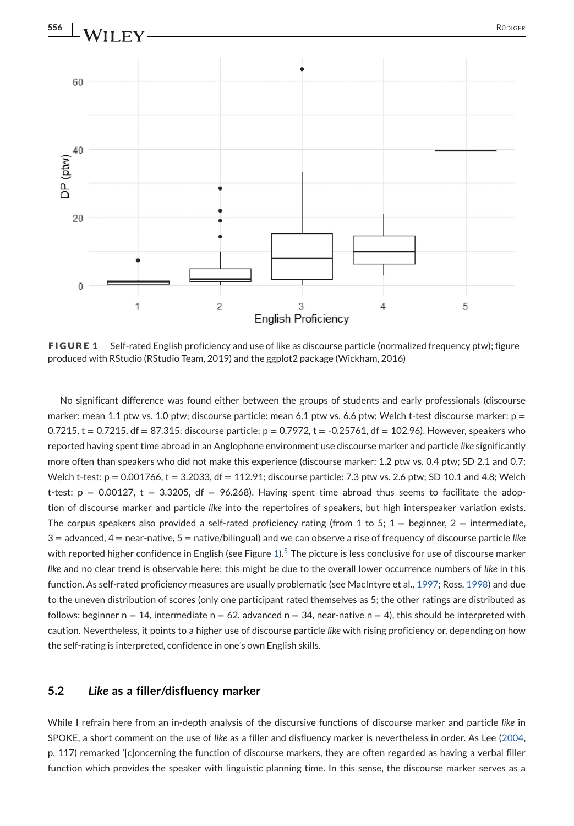

**FIGURE 1** Self-rated English proficiency and use of like as discourse particle (normalized frequency ptw); figure produced with RStudio (RStudio Team, 2019) and the ggplot2 package (Wickham, 2016)

No significant difference was found either between the groups of students and early professionals (discourse marker: mean 1.1 ptw vs. 1.0 ptw; discourse particle: mean 6.1 ptw vs. 6.6 ptw; Welch t-test discourse marker:  $p =$  $0.7215$ , t = 0.7215, df = 87.315; discourse particle:  $p = 0.7972$ , t = -0.25761, df = 102.96). However, speakers who reported having spent time abroad in an Anglophone environment use discourse marker and particle *like* significantly more often than speakers who did not make this experience (discourse marker: 1.2 ptw vs. 0.4 ptw; SD 2.1 and 0.7; Welch t-test:  $p = 0.001766$ ,  $t = 3.2033$ , df = 112.91; discourse particle: 7.3 ptw vs. 2.6 ptw; SD 10.1 and 4.8; Welch t-test:  $p = 0.00127$ ,  $t = 3.3205$ ,  $df = 96.268$ ). Having spent time abroad thus seems to facilitate the adoption of discourse marker and particle *like* into the repertoires of speakers, but high interspeaker variation exists. The corpus speakers also provided a self-rated proficiency rating (from 1 to 5;  $1 =$  beginner,  $2 =$  intermediate, 3 = advanced, 4 = near-native, 5 = native/bilingual) and we can observe a rise of frequency of discourse particle *like* with reported higher confidence in English (see Figure  $1$ )[.](#page-11-0)<sup>5</sup> The picture is less conclusive for use of discourse marker *like* and no clear trend is observable here; this might be due to the overall lower occurrence numbers of *like* in this function. As self-rated proficiency measures are usually problematic (see MacIntyre et al., [1997;](#page-12-0) Ross, [1998\)](#page-13-0) and due to the uneven distribution of scores (only one participant rated themselves as 5; the other ratings are distributed as follows: beginner  $n = 14$ , intermediate  $n = 62$ , advanced  $n = 34$ , near-native  $n = 4$ ), this should be interpreted with caution. Nevertheless, it points to a higher use of discourse particle *like* with rising proficiency or, depending on how the self-rating is interpreted, confidence in one's own English skills.

#### **5.2** *Like* **as a filler/disfluency marker**

While I refrain here from an in-depth analysis of the discursive functions of discourse marker and particle *like* in SPOKE, a short comment on the use of *like* as a filler and disfluency marker is nevertheless in order. As Lee [\(2004,](#page-12-0) p. 117) remarked '[c]oncerning the function of discourse markers, they are often regarded as having a verbal filler function which provides the speaker with linguistic planning time. In this sense, the discourse marker serves as a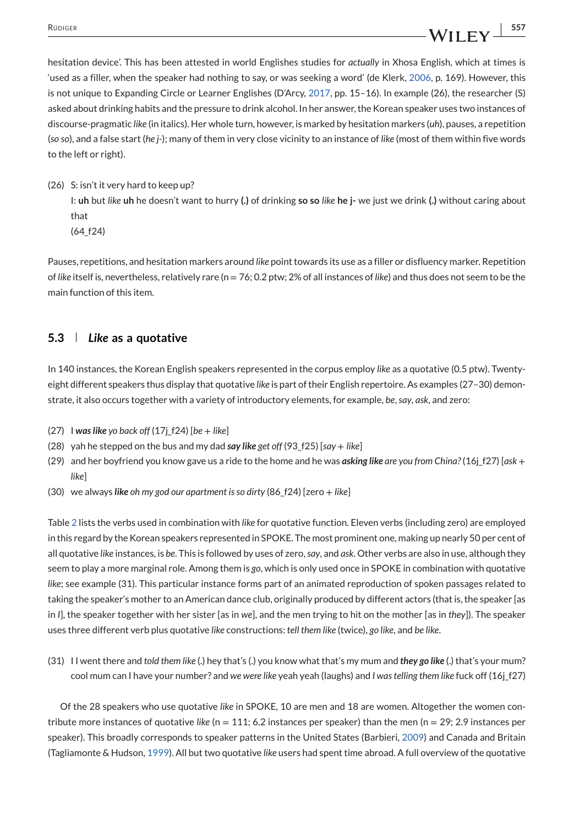### RÜDIGER **1999 1999 1999 1999 1999 1999 1999 1999 1999 1999 1999 1999 1999 1999 1999 1999 1999 1999 1999 1999 1999 1999 1999 1999 1999 1999 1999 1999 1999 1999 199**

hesitation device'. This has been attested in world Englishes studies for *actually* in Xhosa English, which at times is 'used as a filler, when the speaker had nothing to say, or was seeking a word' (de Klerk, [2006,](#page-11-0) p. 169). However, this is not unique to Expanding Circle or Learner Englishes (D'Arcy, [2017,](#page-11-0) pp. 15–16). In example (26), the researcher (S) asked about drinking habits and the pressure to drink alcohol. In her answer, the Korean speaker uses two instances of discourse-pragmatic *like* (in italics). Her whole turn, however, is marked by hesitation markers (*uh*), pauses, a repetition (*so so*), and a false start (*he j-*); many of them in very close vicinity to an instance of *like* (most of them within five words to the left or right).

(26) S: isn't it very hard to keep up?

I: **uh** but *like* **uh** he doesn't want to hurry **(.)** of drinking **so so** *like* **he j-** we just we drink **(.)** without caring about that

(64\_f24)

Pauses, repetitions, and hesitation markers around *like* point towards its use as a filler or disfluency marker. Repetition of *like* itself is, nevertheless, relatively rare (n = 76; 0.2 ptw; 2% of all instances of *like*) and thus does not seem to be the main function of this item.

#### **5.3** *Like* **as a quotative**

In 140 instances, the Korean English speakers represented in the corpus employ *like* as a quotative (0.5 ptw). Twentyeight different speakers thus display that quotative *like* is part of their English repertoire. As examples (27–30) demonstrate, it also occurs together with a variety of introductory elements, for example, *be*,*say*, *ask*, and zero:

- (27) I *was like yo back off* (17j\_f24) [*be* <sup>+</sup> *like*]
- (28) yah he stepped on the bus and my dad *say like get off* (93\_f25) [*say* <sup>+</sup> *like*]
- (29) and her boyfriend you know gave us a ride to the home and he was *asking like are you from China?* (16j\_f27) [*ask* <sup>+</sup> *like*]
- (30) we always *like oh my god our apartment is so dirty* (86\_f24) [zero <sup>+</sup> *like*]

Table [2](#page-10-0) lists the verbs used in combination with *like* for quotative function. Eleven verbs (including zero) are employed in this regard by the Korean speakers represented in SPOKE. The most prominent one, making up nearly 50 per cent of all quotative *like* instances, is *be*. This is followed by uses of zero,*say*, and *ask*. Other verbs are also in use, although they seem to play a more marginal role. Among them is *go*, which is only used once in SPOKE in combination with quotative *like*; see example (31). This particular instance forms part of an animated reproduction of spoken passages related to taking the speaker's mother to an American dance club, originally produced by different actors (that is, the speaker [as in *I*], the speaker together with her sister [as in *we*], and the men trying to hit on the mother [as in *they*]). The speaker uses three different verb plus quotative *like* constructions: *tell them like* (twice), *go like*, and *be like*.

(31) I I went there and *told them like* (.) hey that's (.) you know what that's my mum and *they go like* (.) that's your mum? cool mum can I have your number? and *we were like* yeah yeah (laughs) and *I was telling them like* fuck off (16j\_f27)

Of the 28 speakers who use quotative *like* in SPOKE, 10 are men and 18 are women. Altogether the women contribute more instances of quotative *like* (n = 111; 6.2 instances per speaker) than the men (n = 29; 2.9 instances per speaker). This broadly corresponds to speaker patterns in the United States (Barbieri, [2009\)](#page-11-0) and Canada and Britain (Tagliamonte & Hudson, [1999\)](#page-13-0). All but two quotative *like* users had spent time abroad. A full overview of the quotative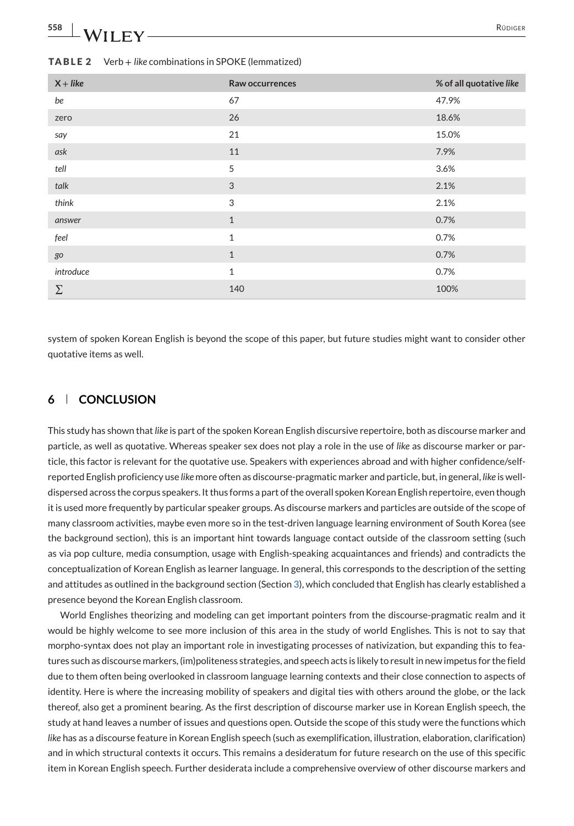# <span id="page-10-0"></span>558 RÜDIGER RÜDIGER

| $X + like$ | Raw occurrences | % of all quotative like |
|------------|-----------------|-------------------------|
| be         | 67              | 47.9%                   |
| zero       | 26              | 18.6%                   |
| say        | 21              | 15.0%                   |
| ask        | 11              | 7.9%                    |
| tell       | 5               | 3.6%                    |
| talk       | 3               | 2.1%                    |
| think      | 3               | 2.1%                    |
| answer     | $\mathbf{1}$    | 0.7%                    |
| feel       | $1\,$           | 0.7%                    |
| go         | $\mathbf{1}$    | 0.7%                    |
| introduce  | $\mathbf{1}$    | 0.7%                    |
| $\Sigma$   | 140             | 100%                    |

#### **TABLE 2** Verb + *like* combinations in SPOKE (lemmatized)

system of spoken Korean English is beyond the scope of this paper, but future studies might want to consider other quotative items as well.

#### **6 CONCLUSION**

This study has shown that*like* is part of the spoken Korean English discursive repertoire, both as discourse marker and particle, as well as quotative. Whereas speaker sex does not play a role in the use of *like* as discourse marker or particle, this factor is relevant for the quotative use. Speakers with experiences abroad and with higher confidence/selfreported English proficiency use *like* more often as discourse-pragmatic marker and particle, but, in general, *like* is welldispersed across the corpus speakers. It thus forms a part of the overall spoken Korean English repertoire, even though it is used more frequently by particular speaker groups. As discourse markers and particles are outside of the scope of many classroom activities, maybe even more so in the test-driven language learning environment of South Korea (see the background section), this is an important hint towards language contact outside of the classroom setting (such as via pop culture, media consumption, usage with English-speaking acquaintances and friends) and contradicts the conceptualization of Korean English as learner language. In general, this corresponds to the description of the setting and attitudes as outlined in the background section (Section [3\)](#page-3-0), which concluded that English has clearly established a presence beyond the Korean English classroom.

World Englishes theorizing and modeling can get important pointers from the discourse-pragmatic realm and it would be highly welcome to see more inclusion of this area in the study of world Englishes. This is not to say that morpho-syntax does not play an important role in investigating processes of nativization, but expanding this to features such as discourse markers, (im)politeness strategies, and speech acts is likely to result in new impetus for the field due to them often being overlooked in classroom language learning contexts and their close connection to aspects of identity. Here is where the increasing mobility of speakers and digital ties with others around the globe, or the lack thereof, also get a prominent bearing. As the first description of discourse marker use in Korean English speech, the study at hand leaves a number of issues and questions open. Outside the scope of this study were the functions which *like* has as a discourse feature in Korean English speech (such as exemplification, illustration, elaboration, clarification) and in which structural contexts it occurs. This remains a desideratum for future research on the use of this specific item in Korean English speech. Further desiderata include a comprehensive overview of other discourse markers and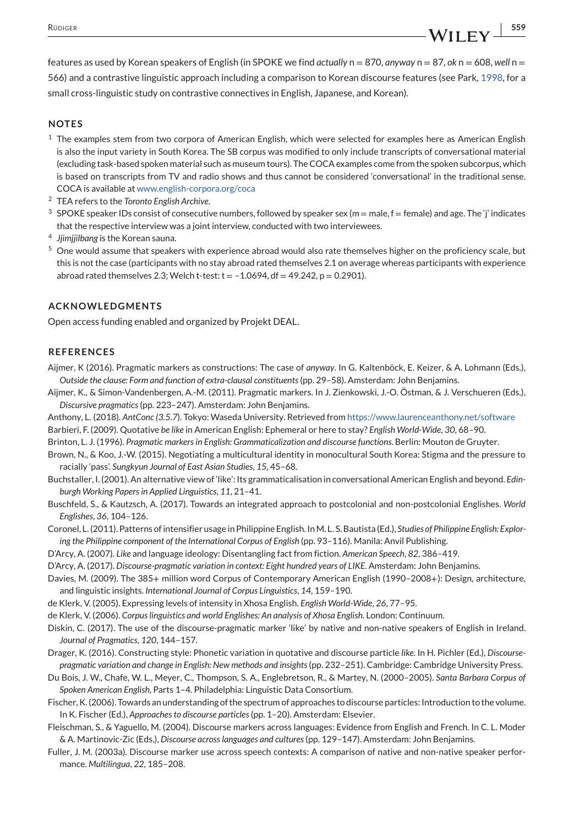#### <span id="page-11-0"></span>**NOTES**

- $1$  The examples stem from two corpora of American English, which were selected for examples here as American English is also the input variety in South Korea. The SB corpus was modified to only include transcripts of conversational material (excluding task-based spoken material such as museum tours). The COCA examples come from the spoken subcorpus, which is based on transcripts from TV and radio shows and thus cannot be considered 'conversational' in the traditional sense. COCA is available at [www.english-corpora.org/coca](http://www.english-corpora.org/coca)
- <sup>2</sup> TEA refers to the *Toronto English Archive*.
- <sup>3</sup> SPOKE speaker IDs consist of consecutive numbers, followed by speaker sex (m = male, f = female) and age. The 'j' indicates that the respective interview was a joint interview, conducted with two interviewees.
- <sup>4</sup> *Jjimjjilbang* is the Korean sauna.
- <sup>5</sup> One would assume that speakers with experience abroad would also rate themselves higher on the proficiency scale, but this is not the case (participants with no stay abroad rated themselves 2.1 on average whereas participants with experience abroad rated themselves 2.3; Welch t-test:  $t = -1.0694$ , df = 49.242, p = 0.2901).

#### **ACKNOWLEDGMENTS**

Open access funding enabled and organized by Projekt DEAL.

#### **REFERENCES**

- Aijmer, K (2016). Pragmatic markers as constructions: The case of *anyway*. In G. Kaltenböck, E. Keizer, & A. Lohmann (Eds.), *Outside the clause: Form and function of extra-clausal constituents*(pp. 29–58). Amsterdam: John Benjamins.
- Aijmer, K., & Simon-Vandenbergen, A.-M. (2011). Pragmatic markers. In J. Zienkowski, J.-O. Östman, & J. Verschueren (Eds.), *Discursive pragmatics*(pp. 223–247). Amsterdam: John Benjamins.
- Anthony, L. (2018). *AntConc (3.5.7*). Tokyo: Waseda University. Retrieved from <https://www.laurenceanthony.net/software>
- Barbieri, F. (2009). Quotative *be like* in American English: Ephemeral or here to stay? *English World-Wide*, *30*, 68–90.
- Brinton, L. J. (1996). *Pragmatic markers in English: Grammaticalization and discourse functions*. Berlin: Mouton de Gruyter.
- Brown, N., & Koo, J.-W. (2015). Negotiating a multicultural identity in monocultural South Korea: Stigma and the pressure to racially 'pass'. *Sungkyun Journal of East Asian Studies*, *15*, 45–68.
- Buchstaller, I. (2001). An alternative view of 'like': Its grammaticalisation in conversational American English and beyond. *Edinburgh Working Papers in Applied Linguistics*, *11*, 21–41.
- Buschfeld, S., & Kautzsch, A. (2017). Towards an integrated approach to postcolonial and non-postcolonial Englishes. *World Englishes*, *36*, 104–126.

Coronel, L. (2011). Patterns of intensifier usage in Philippine English. InM. L. S. Bautista (Ed.), *Studies of Philippine English: Exploring the Philippine component of the International Corpus of English* (pp. 93–116). Manila: Anvil Publishing.

D'Arcy, A. (2007). *Like* and language ideology: Disentangling fact from fiction. *American Speech*, *82*, 386–419.

- D'Arcy, A. (2017). *Discourse-pragmatic variation in context: Eight hundred years of LIKE*. Amsterdam: John Benjamins.
- Davies, M. (2009). The 385+ million word Corpus of Contemporary American English (1990–2008+): Design, architecture, and linguistic insights. *International Journal of Corpus Linguistics*, *14*, 159–190.
- de Klerk, V. (2005). Expressing levels of intensity in Xhosa English. *English World-Wide*, *26*, 77–95.
- de Klerk, V. (2006). *Corpus linguistics and world Englishes: An analysis of Xhosa English*. London: Continuum.
- Diskin, C. (2017). The use of the discourse-pragmatic marker 'like' by native and non-native speakers of English in Ireland. *Journal of Pragmatics*, *120*, 144–157.
- Drager, K. (2016). Constructing style: Phonetic variation in quotative and discourse particle *like*. In H. Pichler (Ed.), *Discoursepragmatic variation and change in English: New methods and insights*(pp. 232–251). Cambridge: Cambridge University Press.
- Du Bois, J. W., Chafe, W. L., Meyer, C., Thompson, S. A., Englebretson, R., & Martey, N. (2000–2005). *Santa Barbara Corpus of Spoken American English*, Parts 1–4. Philadelphia: Linguistic Data Consortium.
- Fischer, K. (2006). Towards an understanding of the spectrum of approaches to discourse particles: Introduction to the volume. In K. Fischer (Ed.), *Approaches to discourse particles*(pp. 1–20). Amsterdam: Elsevier.
- Fleischman, S., & Yaguello, M. (2004). Discourse markers across languages: Evidence from English and French. In C. L. Moder & A. Martinovic-Zic (Eds.), *Discourse across languages and cultures*(pp. 129–147). Amsterdam: John Benjamins.
- Fuller, J. M. (2003a). Discourse marker use across speech contexts: A comparison of native and non-native speaker performance. *Multilingua*, *22*, 185–208.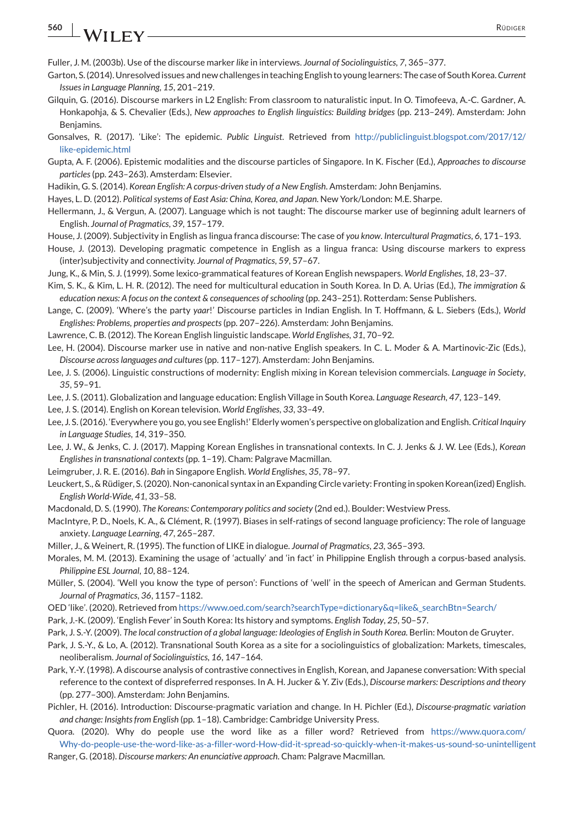## <span id="page-12-0"></span>**560 WII FV** RÜDIGER

Fuller, J. M. (2003b). Use of the discourse marker *like* in interviews. *Journal of Sociolinguistics*, *7*, 365–377.

- Garton, S. (2014). Unresolved issues and new challenges in teaching English to young learners: The case of South Korea.*Current Issues in Language Planning*, *15*, 201–219.
- Gilquin, G. (2016). Discourse markers in L2 English: From classroom to naturalistic input. In O. Timofeeva, A.-C. Gardner, A. Honkapohja, & S. Chevalier (Eds.), *New approaches to English linguistics: Building bridges* (pp. 213–249). Amsterdam: John Benjamins.
- Gonsalves, R. (2017). 'Like': The epidemic. *Public Linguist*. Retrieved from [http://publiclinguist.blogspot.com/2017/12/](http://publiclinguist.blogspot.com/2017/12/like-epidemic.html) [like-epidemic.html](http://publiclinguist.blogspot.com/2017/12/like-epidemic.html)
- Gupta, A. F. (2006). Epistemic modalities and the discourse particles of Singapore. In K. Fischer (Ed.), *Approaches to discourse particles*(pp. 243–263). Amsterdam: Elsevier.
- Hadikin, G. S. (2014). *Korean English: A corpus-driven study of a New English*. Amsterdam: John Benjamins.
- Hayes, L. D. (2012). *Political systems of East Asia: China, Korea, and Japan*. New York/London: M.E. Sharpe.
- Hellermann, J., & Vergun, A. (2007). Language which is not taught: The discourse marker use of beginning adult learners of English. *Journal of Pragmatics*, *39*, 157–179.
- House, J. (2009). Subjectivity in English as lingua franca discourse: The case of *you know*. *Intercultural Pragmatics*, *6*, 171–193.
- House, J. (2013). Developing pragmatic competence in English as a lingua franca: Using discourse markers to express (inter)subjectivity and connectivity. *Journal of Pragmatics*, *59*, 57–67.
- Jung, K., & Min, S. J. (1999). Some lexico-grammatical features of Korean English newspapers. *World Englishes*, *18*, 23–37.
- Kim, S. K., & Kim, L. H. R. (2012). The need for multicultural education in South Korea. In D. A. Urias (Ed.), *The immigration & education nexus: A focus on the context & consequences of schooling* (pp. 243–251). Rotterdam: Sense Publishers.
- Lange, C. (2009). 'Where's the party *yaar*!' Discourse particles in Indian English. In T. Hoffmann, & L. Siebers (Eds.), *World Englishes: Problems, properties and prospects*(pp. 207–226). Amsterdam: John Benjamins.
- Lawrence, C. B. (2012). The Korean English linguistic landscape. *World Englishes*, *31*, 70–92.
- Lee, H. (2004). Discourse marker use in native and non-native English speakers. In C. L. Moder & A. Martinovic-Zic (Eds.), *Discourse across languages and cultures*(pp. 117–127). Amsterdam: John Benjamins.
- Lee, J. S. (2006). Linguistic constructions of modernity: English mixing in Korean television commercials. *Language in Society*, *35*, 59–91.
- Lee, J. S. (2011). Globalization and language education: English Village in South Korea. *Language Research*, *47*, 123–149.

Lee, J. S. (2014). English on Korean television. *World Englishes*, *33*, 33–49.

- Lee, J. S. (2016). 'Everywhere you go, you see English!' Elderly women's perspective on globalization and English. *Critical Inquiry in Language Studies*, *14*, 319–350.
- Lee, J. W., & Jenks, C. J. (2017). Mapping Korean Englishes in transnational contexts. In C. J. Jenks & J. W. Lee (Eds.), *Korean Englishes in transnational contexts*(pp. 1–19). Cham: Palgrave Macmillan.
- Leimgruber, J. R. E. (2016). *Bah* in Singapore English. *World Englishes*, *35*, 78–97.
- Leuckert, S., & Rüdiger, S. (2020). Non-canonical syntax in an Expanding Circle variety: Fronting in spoken Korean(ized) English. *English World-Wide*, *41*, 33–58.
- Macdonald, D. S. (1990). *The Koreans: Contemporary politics and society* (2nd ed.). Boulder: Westview Press.
- MacIntyre, P. D., Noels, K. A., & Clément, R. (1997). Biases in self-ratings of second language proficiency: The role of language anxiety. *Language Learning*, *47*, 265–287.
- Miller, J., & Weinert, R. (1995). The function of LIKE in dialogue. *Journal of Pragmatics*, *23*, 365–393.
- Morales, M. M. (2013). Examining the usage of 'actually' and 'in fact' in Philippine English through a corpus-based analysis. *Philippine ESL Journal*, *10*, 88–124.
- Müller, S. (2004). 'Well you know the type of person': Functions of 'well' in the speech of American and German Students. *Journal of Pragmatics*, *36*, 1157–1182.
- OED 'like'. (2020). Retrieved from [https://www.oed.com/search?searchType=dictionary&q=like&\\_searchBtn=Search/](https://www.oed.com/search?searchType=dictionary&q=like&_searchBtn=Search/)
- Park, J.-K. (2009). 'English Fever' in South Korea: Its history and symptoms. *English Today*, *25*, 50–57.
- Park, J. S.-Y. (2009). *The local construction of a global language: Ideologies of English in South Korea*. Berlin: Mouton de Gruyter.
- Park, J. S.-Y., & Lo, A. (2012). Transnational South Korea as a site for a sociolinguistics of globalization: Markets, timescales, neoliberalism. *Journal of Sociolinguistics*, *16*, 147–164.
- Park, Y.-Y. (1998). A discourse analysis of contrastive connectives in English, Korean, and Japanese conversation: With special reference to the context of dispreferred responses. In A. H. Jucker & Y. Ziv (Eds.), *Discourse markers: Descriptions and theory* (pp. 277–300). Amsterdam: John Benjamins.
- Pichler, H. (2016). Introduction: Discourse-pragmatic variation and change. In H. Pichler (Ed.), *Discourse-pragmatic variation and change: Insights from English* (pp. 1–18). Cambridge: Cambridge University Press.
- Quora. (2020). Why do people use the word like as a filler word? Retrieved from [https://www.quora.com/](https://www.quora.com/Why-do-people-use-the-word-like-as-a-filler-word-How-did-it-spread-so-quickly-when-it-makes-us-sound-so-unintelligent) [Why-do-people-use-the-word-like-as-a-filler-word-How-did-it-spread-so-quickly-when-it-makes-us-sound-so-unintelligent](https://www.quora.com/Why-do-people-use-the-word-like-as-a-filler-word-How-did-it-spread-so-quickly-when-it-makes-us-sound-so-unintelligent)
- Ranger, G. (2018). *Discourse markers: An enunciative approach*. Cham: Palgrave Macmillan.